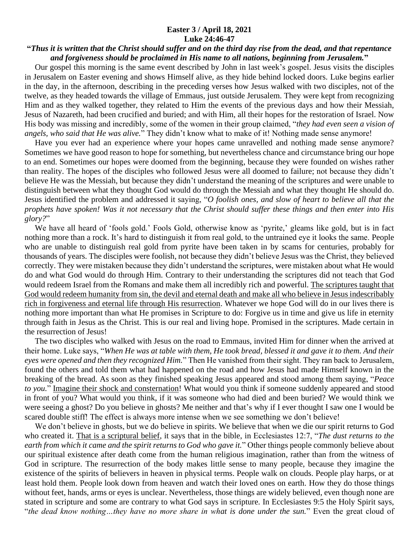## **Easter 3 / April 18, 2021 Luke 24:46-47**

## **"***Thus it is written that the Christ should suffer and on the third day rise from the dead, and that repentance and forgiveness should be proclaimed in His name to all nations, beginning from Jerusalem.***"**

 Our gospel this morning is the same event described by John in last week's gospel. Jesus visits the disciples in Jerusalem on Easter evening and shows Himself alive, as they hide behind locked doors. Luke begins earlier in the day, in the afternoon, describing in the preceding verses how Jesus walked with two disciples, not of the twelve, as they headed towards the village of Emmaus, just outside Jerusalem. They were kept from recognizing Him and as they walked together, they related to Him the events of the previous days and how their Messiah, Jesus of Nazareth, had been crucified and buried; and with Him, all their hopes for the restoration of Israel. Now His body was missing and incredibly, some of the women in their group claimed, "*they had even seen a vision of angels, who said that He was alive.*" They didn't know what to make of it! Nothing made sense anymore!

 Have you ever had an experience where your hopes came unravelled and nothing made sense anymore? Sometimes we have good reason to hope for something, but nevertheless chance and circumstance bring our hope to an end. Sometimes our hopes were doomed from the beginning, because they were founded on wishes rather than reality. The hopes of the disciples who followed Jesus were all doomed to failure; not because they didn't believe He was the Messiah, but because they didn't understand the meaning of the scriptures and were unable to distinguish between what they thought God would do through the Messiah and what they thought He should do. Jesus identified the problem and addressed it saying, "*O foolish ones, and slow of heart to believe all that the prophets have spoken! Was it not necessary that the Christ should suffer these things and then enter into His glory?*"

 We have all heard of 'fools gold.' Fools Gold, otherwise know as 'pyrite,' gleams like gold, but is in fact nothing more than a rock. It's hard to distinguish it from real gold, to the untrained eye it looks the same. People who are unable to distinguish real gold from pyrite have been taken in by scams for centuries, probably for thousands of years. The disciples were foolish, not because they didn't believe Jesus was the Christ, they believed correctly. They were mistaken because they didn't understand the scriptures, were mistaken about what He would do and what God would do through Him. Contrary to their understanding the scriptures did not teach that God would redeem Israel from the Romans and make them all incredibly rich and powerful. The scriptures taught that God would redeem humanity from sin, the devil and eternal death and make all who believe in Jesus indescribably rich in forgiveness and eternal life through His resurrection. Whatever we hope God will do in our lives there is nothing more important than what He promises in Scripture to do: Forgive us in time and give us life in eternity through faith in Jesus as the Christ. This is our real and living hope. Promised in the scriptures. Made certain in the resurrection of Jesus!

 The two disciples who walked with Jesus on the road to Emmaus, invited Him for dinner when the arrived at their home. Luke says, "*When He was at table with them, He took bread, blessed it and gave it to them. And their eyes were opened and then they recognized Him.*" Then He vanished from their sight. They ran back to Jerusalem, found the others and told them what had happened on the road and how Jesus had made Himself known in the breaking of the bread. As soon as they finished speaking Jesus appeared and stood among them saying, "*Peace to you.*" Imagine their shock and consternation! What would you think if someone suddenly appeared and stood in front of you? What would you think, if it was someone who had died and been buried? We would think we were seeing a ghost? Do you believe in ghosts? Me neither and that's why if I ever thought I saw one I would be scared double stiff! The effect is always more intense when we see something we don't believe!

We don't believe in ghosts, but we do believe in spirits. We believe that when we die our spirit returns to God who created it. That is a scriptural belief, it says that in the bible, in Ecclesiastes 12:7, "*The dust returns to the earth from which it came and the spirit returns to God who gave it.*" Other things people commonly believe about our spiritual existence after death come from the human religious imagination, rather than from the witness of God in scripture. The resurrection of the body makes little sense to many people, because they imagine the existence of the spirits of believers in heaven in physical terms. People walk on clouds. People play harps, or at least hold them. People look down from heaven and watch their loved ones on earth. How they do those things without feet, hands, arms or eyes is unclear. Nevertheless, those things are widely believed, even though none are stated in scripture and some are contrary to what God says in scripture. In Ecclesiastes 9:5 the Holy Spirit says, "*the dead know nothing…they have no more share in what is done under the sun.*" Even the great cloud of